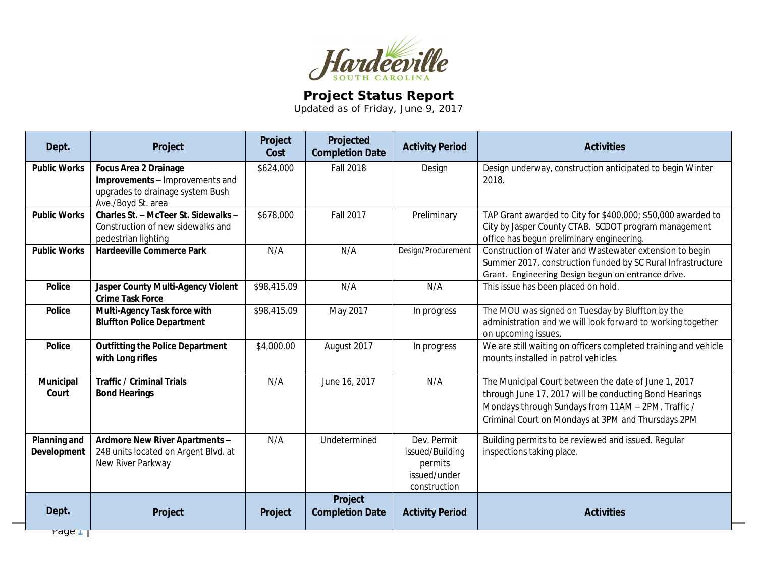

## **Project Status Report**

Updated as of Friday, June 9, 2017

| Design underway, construction anticipated to begin Winter<br><b>Public Works</b><br><b>Focus Area 2 Drainage</b><br>\$624,000<br><b>Fall 2018</b><br>Design<br>Improvements - Improvements and<br>2018.<br>upgrades to drainage system Bush<br>Ave./Boyd St. area<br>Charles St. - McTeer St. Sidewalks -<br>\$678,000<br><b>Fall 2017</b><br><b>Public Works</b><br>Preliminary<br>TAP Grant awarded to City for \$400,000; \$50,000 awarded to<br>City by Jasper County CTAB. SCDOT program management<br>Construction of new sidewalks and<br>office has begun preliminary engineering.<br>pedestrian lighting<br>Design/Procurement<br><b>Public Works</b><br>N/A<br>Construction of Water and Wastewater extension to begin<br><b>Hardeeville Commerce Park</b><br>N/A |  |
|-----------------------------------------------------------------------------------------------------------------------------------------------------------------------------------------------------------------------------------------------------------------------------------------------------------------------------------------------------------------------------------------------------------------------------------------------------------------------------------------------------------------------------------------------------------------------------------------------------------------------------------------------------------------------------------------------------------------------------------------------------------------------------|--|
|                                                                                                                                                                                                                                                                                                                                                                                                                                                                                                                                                                                                                                                                                                                                                                             |  |
|                                                                                                                                                                                                                                                                                                                                                                                                                                                                                                                                                                                                                                                                                                                                                                             |  |
| Summer 2017, construction funded by SC Rural Infrastructure<br>Grant. Engineering Design begun on entrance drive.                                                                                                                                                                                                                                                                                                                                                                                                                                                                                                                                                                                                                                                           |  |
| \$98,415.09<br>N/A<br>N/A<br><b>Police</b><br>Jasper County Multi-Agency Violent<br>This issue has been placed on hold.<br><b>Crime Task Force</b>                                                                                                                                                                                                                                                                                                                                                                                                                                                                                                                                                                                                                          |  |
| Multi-Agency Task force with<br>\$98,415.09<br>May 2017<br>The MOU was signed on Tuesday by Bluffton by the<br><b>Police</b><br>In progress<br><b>Bluffton Police Department</b><br>administration and we will look forward to working together<br>on upcoming issues.                                                                                                                                                                                                                                                                                                                                                                                                                                                                                                      |  |
| We are still waiting on officers completed training and vehicle<br><b>Outfitting the Police Department</b><br>\$4,000.00<br>August 2017<br><b>Police</b><br>In progress<br>with Long rifles<br>mounts installed in patrol vehicles.                                                                                                                                                                                                                                                                                                                                                                                                                                                                                                                                         |  |
| June 16, 2017<br>The Municipal Court between the date of June 1, 2017<br>Municipal<br><b>Traffic / Criminal Trials</b><br>N/A<br>N/A<br><b>Bond Hearings</b><br>Court<br>through June 17, 2017 will be conducting Bond Hearings<br>Mondays through Sundays from 11AM - 2PM. Traffic /<br>Criminal Court on Mondays at 3PM and Thursdays 2PM                                                                                                                                                                                                                                                                                                                                                                                                                                 |  |
| Planning and<br>N/A<br>Undetermined<br>Dev. Permit<br>Building permits to be reviewed and issued. Regular<br>Ardmore New River Apartments -<br>248 units located on Argent Blvd. at<br>inspections taking place.<br><b>Development</b><br>issued/Building<br>New River Parkway<br>permits<br>issued/under<br>construction                                                                                                                                                                                                                                                                                                                                                                                                                                                   |  |
| Project<br>Dept.<br><b>Completion Date</b><br><b>Activities</b><br>Project<br><b>Activity Period</b><br>Project<br>$r$ age $\top$                                                                                                                                                                                                                                                                                                                                                                                                                                                                                                                                                                                                                                           |  |